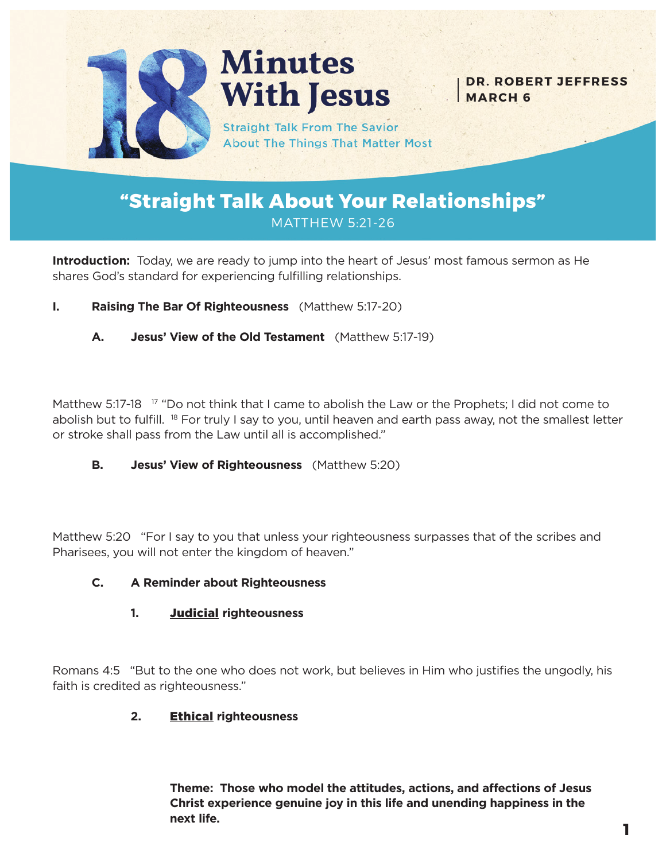

**Minutes With Jesus** 

**DR. ROBERT JEFFRESS MARCH 6**

**Straight Talk From The Savior About The Things That Matter Most** 

# **"Straight Talk About Your Relationships"** MATTHEW 5:21-26

**Introduction:** Today, we are ready to jump into the heart of Jesus' most famous sermon as He shares God's standard for experiencing fulfilling relationships.

- **I. Raising The Bar Of Righteousness** (Matthew 5:17-20)
	- **A. Jesus' View of the Old Testament** (Matthew 5:17-19)

Matthew 5:17-18  $17$  "Do not think that I came to abolish the Law or the Prophets; I did not come to abolish but to fulfill. <sup>18</sup> For truly I say to you, until heaven and earth pass away, not the smallest letter or stroke shall pass from the Law until all is accomplished."

**B. Jesus' View of Righteousness** (Matthew 5:20)

Matthew 5:20 "For I say to you that unless your righteousness surpasses that of the scribes and Pharisees, you will not enter the kingdom of heaven."

## **C. A Reminder about Righteousness**

## **1.** Judicial **righteousness**

Romans 4:5 "But to the one who does not work, but believes in Him who justifies the ungodly, his faith is credited as righteousness."

## **2.** Ethical **righteousness**

**Theme: Those who model the attitudes, actions, and affections of Jesus Christ experience genuine joy in this life and unending happiness in the next life.**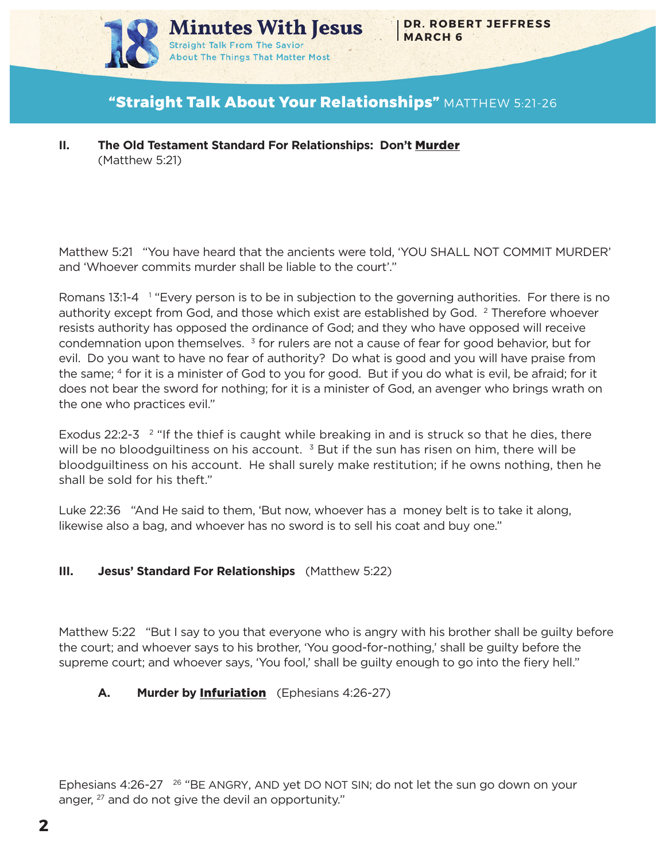

## **"Straight Talk About Your Relationships"** MATTHEW 5:21-26

Matthew 5:21 "You have heard that the ancients were told, 'YOU SHALL NOT COMMIT MURDER' and 'Whoever commits murder shall be liable to the court'."

Romans 13:1-4 <sup>1</sup> "Every person is to be in subjection to the governing authorities. For there is no authority except from God, and those which exist are established by God. <sup>2</sup> Therefore whoever resists authority has opposed the ordinance of God; and they who have opposed will receive condemnation upon themselves.  $3$  for rulers are not a cause of fear for good behavior, but for evil. Do you want to have no fear of authority? Do what is good and you will have praise from the same; 4 for it is a minister of God to you for good. But if you do what is evil, be afraid; for it does not bear the sword for nothing; for it is a minister of God, an avenger who brings wrath on the one who practices evil."

Exodus 22:2-3  $\degree$  "If the thief is caught while breaking in and is struck so that he dies, there will be no bloodguiltiness on his account.  $3$  But if the sun has risen on him, there will be bloodguiltiness on his account. He shall surely make restitution; if he owns nothing, then he shall be sold for his theft."

Luke 22:36 "And He said to them, 'But now, whoever has a money belt is to take it along, likewise also a bag, and whoever has no sword is to sell his coat and buy one."

## **III. Jesus' Standard For Relationships** (Matthew 5:22)

Matthew 5:22 "But I say to you that everyone who is angry with his brother shall be guilty before the court; and whoever says to his brother, 'You good-for-nothing,' shall be guilty before the supreme court; and whoever says, 'You fool,' shall be guilty enough to go into the fiery hell."

## **A. Murder by** Infuriation (Ephesians 4:26-27)

Ephesians 4:26-27<sup>26</sup> "BE ANGRY, AND yet DO NOT SIN; do not let the sun go down on your anger, <sup>27</sup> and do not give the devil an opportunity."

**II. The Old Testament Standard For Relationships: Don't** Murder (Matthew 5:21)